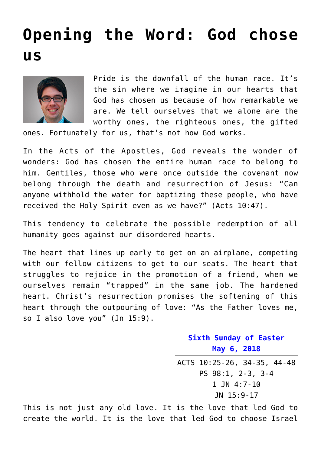## **[Opening the Word: God chose](https://www.osvnews.com/2018/05/06/opening-the-word-god-chose-us/) [us](https://www.osvnews.com/2018/05/06/opening-the-word-god-chose-us/)**



Pride is the downfall of the human race. It's the sin where we imagine in our hearts that God has chosen us because of how remarkable we are. We tell ourselves that we alone are the worthy ones, the righteous ones, the gifted

ones. Fortunately for us, that's not how God works.

In the Acts of the Apostles, God reveals the wonder of wonders: God has chosen the entire human race to belong to him. Gentiles, those who were once outside the covenant now belong through the death and resurrection of Jesus: "Can anyone withhold the water for baptizing these people, who have received the Holy Spirit even as we have?" (Acts 10:47).

This tendency to celebrate the possible redemption of all humanity goes against our disordered hearts.

The heart that lines up early to get on an airplane, competing with our fellow citizens to get to our seats. The heart that struggles to rejoice in the promotion of a friend, when we ourselves remain "trapped" in the same job. The hardened heart. Christ's resurrection promises the softening of this heart through the outpouring of love: "As the Father loves me, so I also love you" (Jn 15:9).

> **[Sixth Sunday of Easter](http://www.usccb.org/bible/readings/050618.cfm) [May 6, 2018](http://www.usccb.org/bible/readings/050618.cfm)** ACTS 10:25-26, 34-35, 44-48 PS 98:1, 2-3, 3-4 1 JN 4:7-10 JN 15:9-17

This is not just any old love. It is the love that led God to create the world. It is the love that led God to choose Israel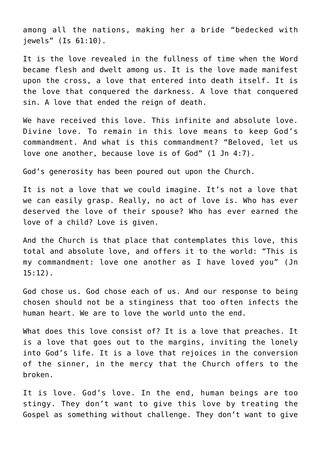among all the nations, making her a bride "bedecked with jewels" (Is 61:10).

It is the love revealed in the fullness of time when the Word became flesh and dwelt among us. It is the love made manifest upon the cross, a love that entered into death itself. It is the love that conquered the darkness. A love that conquered sin. A love that ended the reign of death.

We have received this love. This infinite and absolute love. Divine love. To remain in this love means to keep God's commandment. And what is this commandment? "Beloved, let us love one another, because love is of God" (1 Jn 4:7).

God's generosity has been poured out upon the Church.

It is not a love that we could imagine. It's not a love that we can easily grasp. Really, no act of love is. Who has ever deserved the love of their spouse? Who has ever earned the love of a child? Love is given.

And the Church is that place that contemplates this love, this total and absolute love, and offers it to the world: "This is my commandment: love one another as I have loved you" (Jn 15:12).

God chose us. God chose each of us. And our response to being chosen should not be a stinginess that too often infects the human heart. We are to love the world unto the end.

What does this love consist of? It is a love that preaches. It is a love that goes out to the margins, inviting the lonely into God's life. It is a love that rejoices in the conversion of the sinner, in the mercy that the Church offers to the broken.

It is love. God's love. In the end, human beings are too stingy. They don't want to give this love by treating the Gospel as something without challenge. They don't want to give